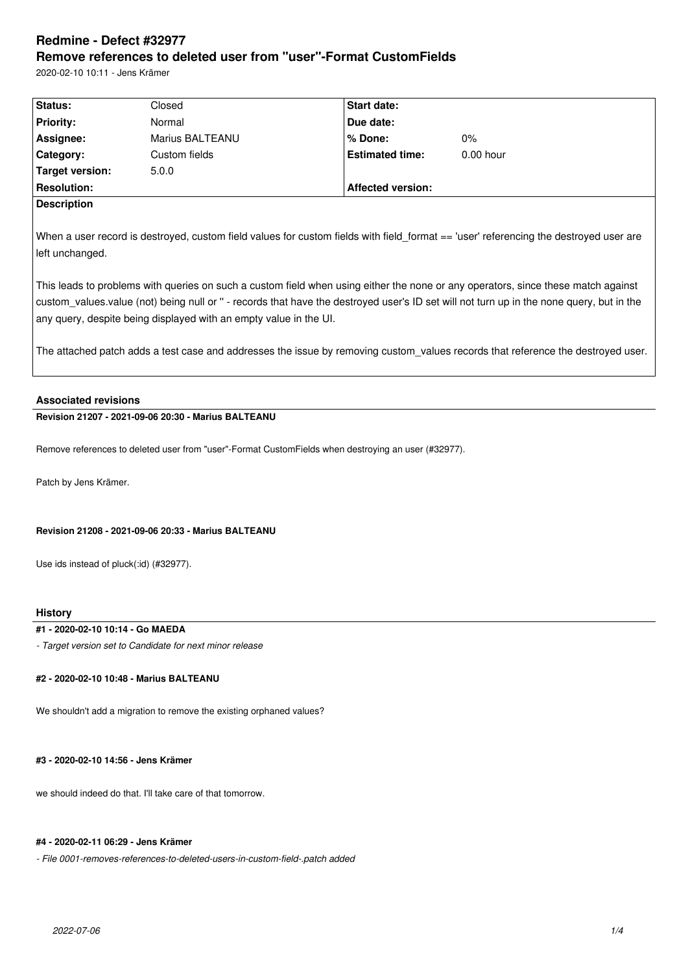# **Redmine - Defect #32977 Remove references to deleted user from "user"-Format CustomFields**

2020-02-10 10:11 - Jens Krämer

| <b>Status:</b>                                                                                                                           | Closed          | <b>Start date:</b>       |             |  |  |
|------------------------------------------------------------------------------------------------------------------------------------------|-----------------|--------------------------|-------------|--|--|
| <b>Priority:</b>                                                                                                                         | Normal          | Due date:                |             |  |  |
| Assignee:                                                                                                                                | Marius BALTEANU | % Done:                  | $0\%$       |  |  |
| Category:                                                                                                                                | Custom fields   | <b>Estimated time:</b>   | $0.00$ hour |  |  |
| <b>Target version:</b>                                                                                                                   | 5.0.0           |                          |             |  |  |
| <b>Resolution:</b>                                                                                                                       |                 | <b>Affected version:</b> |             |  |  |
| <b>Description</b>                                                                                                                       |                 |                          |             |  |  |
|                                                                                                                                          |                 |                          |             |  |  |
| When a user record is destroyed, custom field values for custom fields with field_format == 'user' referencing the destroyed user are    |                 |                          |             |  |  |
| left unchanged.                                                                                                                          |                 |                          |             |  |  |
|                                                                                                                                          |                 |                          |             |  |  |
| This leads to problems with queries on such a custom field when using either the none or any operators, since these match against        |                 |                          |             |  |  |
| custom_values.value (not) being null or " - records that have the destroyed user's ID set will not turn up in the none query, but in the |                 |                          |             |  |  |
| any query, despite being displayed with an empty value in the UI.                                                                        |                 |                          |             |  |  |

The attached patch adds a test case and addresses the issue by removing custom values records that reference the destroyed user.

# **Associated revisions**

**Revision 21207 - 2021-09-06 20:30 - Marius BALTEANU**

Remove references to deleted user from "user"-Format CustomFields when destroying an user (#32977).

Patch by Jens Krämer.

## **Revision 21208 - 2021-09-06 20:33 - Marius BALTEANU**

Use ids instead of pluck(:id) (#32977).

#### **History**

## **#1 - 2020-02-10 10:14 - Go MAEDA**

*- Target version set to Candidate for next minor release*

# **#2 - 2020-02-10 10:48 - Marius BALTEANU**

We shouldn't add a migration to remove the existing orphaned values?

#### **#3 - 2020-02-10 14:56 - Jens Krämer**

we should indeed do that. I'll take care of that tomorrow.

#### **#4 - 2020-02-11 06:29 - Jens Krämer**

*- File 0001-removes-references-to-deleted-users-in-custom-field-.patch added*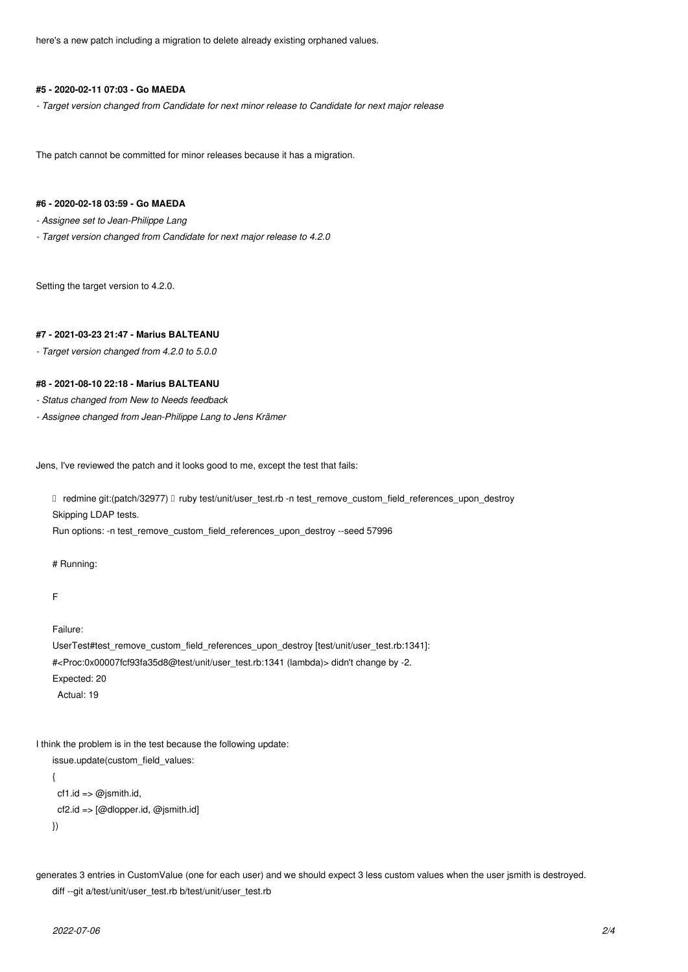here's a new patch including a migration to delete already existing orphaned values.

#### **#5 - 2020-02-11 07:03 - Go MAEDA**

*- Target version changed from Candidate for next minor release to Candidate for next major release*

The patch cannot be committed for minor releases because it has a migration.

## **#6 - 2020-02-18 03:59 - Go MAEDA**

*- Assignee set to Jean-Philippe Lang*

*- Target version changed from Candidate for next major release to 4.2.0*

Setting the target version to 4.2.0.

# **#7 - 2021-03-23 21:47 - Marius BALTEANU**

*- Target version changed from 4.2.0 to 5.0.0*

## **#8 - 2021-08-10 22:18 - Marius BALTEANU**

- *Status changed from New to Needs feedback*
- *Assignee changed from Jean-Philippe Lang to Jens Krämer*

Jens, I've reviewed the patch and it looks good to me, except the test that fails:

□ redmine git:(patch/32977) □ ruby test/unit/user\_test.rb -n test\_remove\_custom\_field\_references\_upon\_destroy Skipping LDAP tests.

Run options: -n test\_remove\_custom\_field\_references\_upon\_destroy --seed 57996

# Running:

```
F
```
Failure:

```
UserTest#test_remove_custom_field_references_upon_destroy [test/unit/user_test.rb:1341]:
#<Proc:0x00007fcf93fa35d8@test/unit/user_test.rb:1341 (lambda)> didn't change by -2.
Expected: 20
  Actual: 19
```
I think the problem is in the test because the following update:

```
issue.update(custom_field_values:
{
```

```
cf1.id => @jsmith.id, cf2.id => [@dlopper.id, @jsmith.id]
```
})

generates 3 entries in CustomValue (one for each user) and we should expect 3 less custom values when the user jsmith is destroyed. diff --git a/test/unit/user\_test.rb b/test/unit/user\_test.rb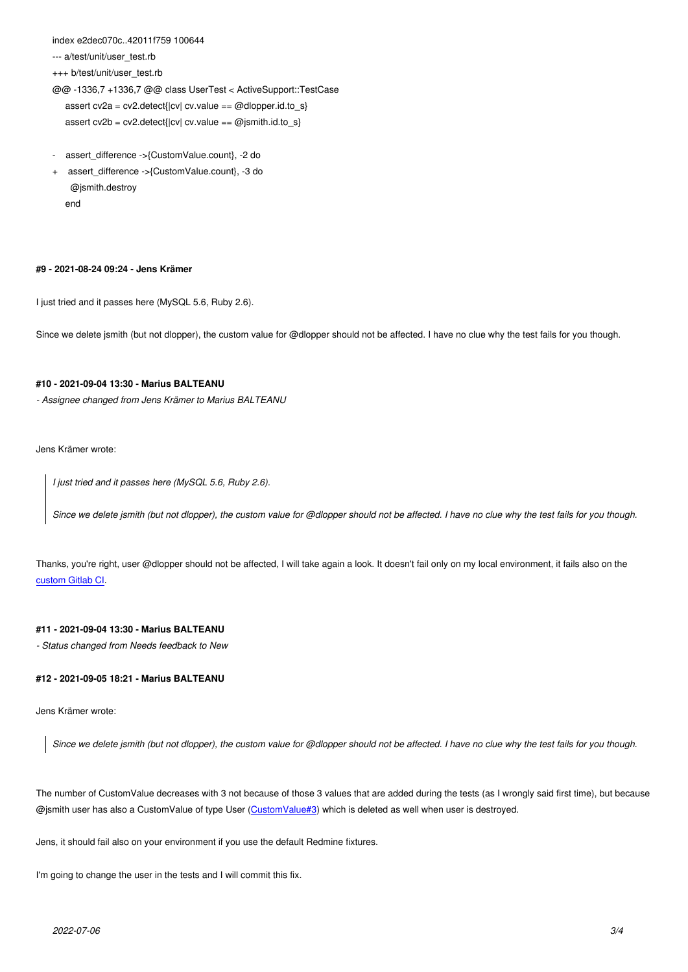```
a/test/unit/user_test.rb
```
+++ b/test/unit/user\_test.rb

@@ -1336,7 +1336,7 @@ class UserTest < ActiveSupport::TestCase assert cv2a = cv2.detect{|cv| cv.value == @dlopper.id.to\_s}

assert cv2b = cv2.detect{ $|cv|$  cv.value == @jsmith.id.to\_s}

- assert\_difference ->{CustomValue.count}, -2 do
- + assert\_difference ->{CustomValue.count}, -3 do @jsmith.destroy end

#### **#9 - 2021-08-24 09:24 - Jens Krämer**

I just tried and it passes here (MySQL 5.6, Ruby 2.6).

Since we delete jsmith (but not dlopper), the custom value for @dlopper should not be affected. I have no clue why the test fails for you though.

#### **#10 - 2021-09-04 13:30 - Marius BALTEANU**

*- Assignee changed from Jens Krämer to Marius BALTEANU*

Jens Krämer wrote:

*I just tried and it passes here (MySQL 5.6, Ruby 2.6).*

*Since we delete jsmith (but not dlopper), the custom value for @dlopper should not be affected. I have no clue why the test fails for you though.*

Thanks, you're right, user @dlopper should not be affected, I will take again a look. It doesn't fail only on my local environment, it fails also on the custom Gitlab CI.

## **[#11 - 2021-09-04](https://gitlab.com/redmine-org/redmine/-/jobs/1468533588#L1668) 13:30 - Marius BALTEANU**

*- Status changed from Needs feedback to New*

#### **#12 - 2021-09-05 18:21 - Marius BALTEANU**

Jens Krämer wrote:

*Since we delete jsmith (but not dlopper), the custom value for @dlopper should not be affected. I have no clue why the test fails for you though.*

The number of CustomValue decreases with 3 not because of those 3 values that are added during the tests (as I wrongly said first time), but because @jsmith user has also a CustomValue of type User (CustomValue#3) which is deleted as well when user is destroyed.

Jens, it should fail also on your environment if you use the default Redmine fixtures.

I'm going to change the user in the tests and I will co[mmit this fix.](https://github.com/redmine/redmine/blob/master/test/fixtures/custom_values.yml#L26)